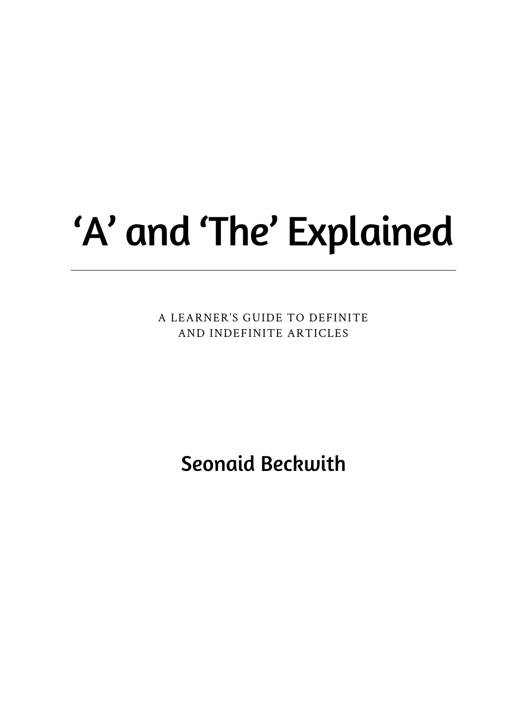## 'A' and 'The' Explained

A LEARNER'S GUIDE TO DEFINITE AND INDEFINITE ARTICLES

**Seonaid Beckwith**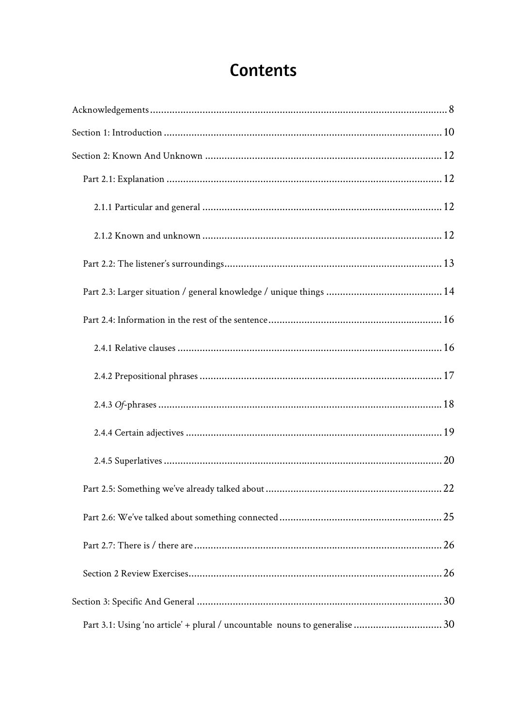## Contents

| Part 3.1: Using 'no article' + plural / uncountable nouns to generalise 30 |  |
|----------------------------------------------------------------------------|--|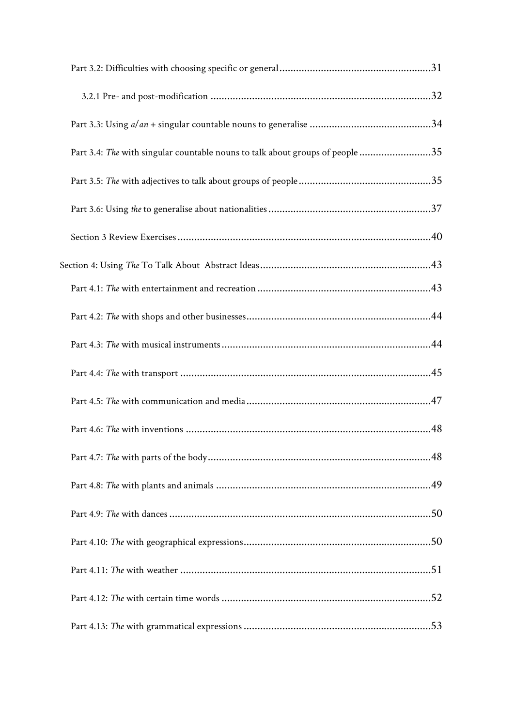| Part 3.4: The with singular countable nouns to talk about groups of people 35 |  |
|-------------------------------------------------------------------------------|--|
|                                                                               |  |
|                                                                               |  |
|                                                                               |  |
|                                                                               |  |
|                                                                               |  |
|                                                                               |  |
|                                                                               |  |
|                                                                               |  |
|                                                                               |  |
|                                                                               |  |
|                                                                               |  |
|                                                                               |  |
|                                                                               |  |
|                                                                               |  |
|                                                                               |  |
|                                                                               |  |
|                                                                               |  |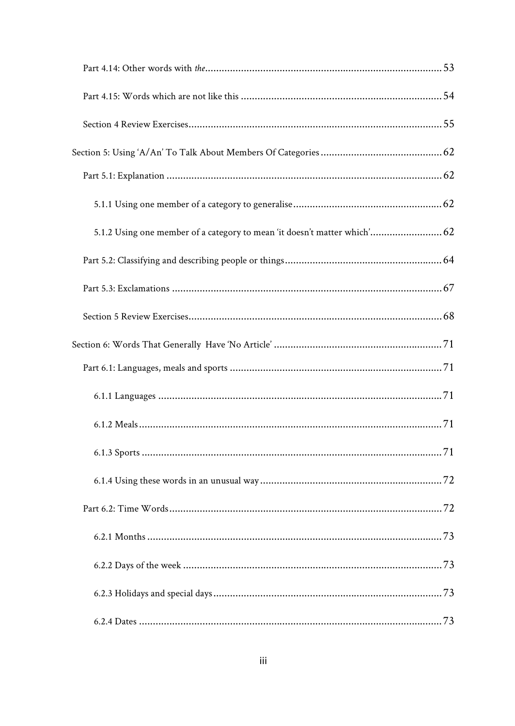| 5.1.2 Using one member of a category to mean 'it doesn't matter which' 62 |  |
|---------------------------------------------------------------------------|--|
|                                                                           |  |
|                                                                           |  |
|                                                                           |  |
|                                                                           |  |
|                                                                           |  |
|                                                                           |  |
|                                                                           |  |
|                                                                           |  |
|                                                                           |  |
|                                                                           |  |
|                                                                           |  |
|                                                                           |  |
|                                                                           |  |
|                                                                           |  |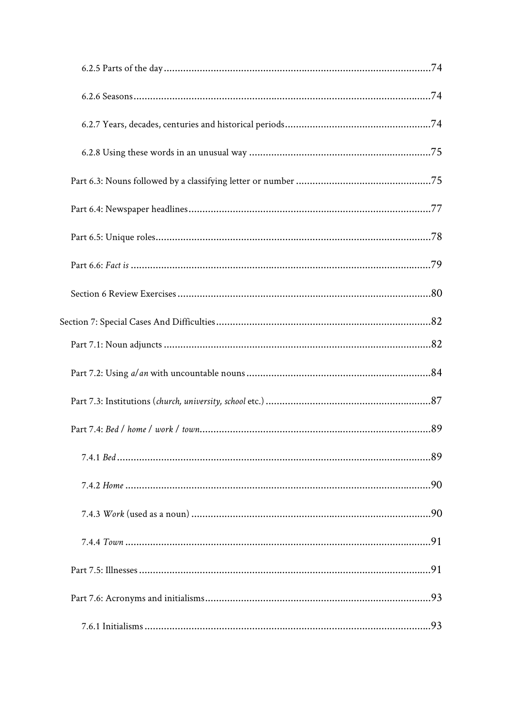| Section 7: Special Cases And Difficulties………………………………………………………………………………82 |  |
|---------------------------------------------------------------------------|--|
|                                                                           |  |
|                                                                           |  |
|                                                                           |  |
|                                                                           |  |
|                                                                           |  |
|                                                                           |  |
|                                                                           |  |
|                                                                           |  |
|                                                                           |  |
|                                                                           |  |
|                                                                           |  |